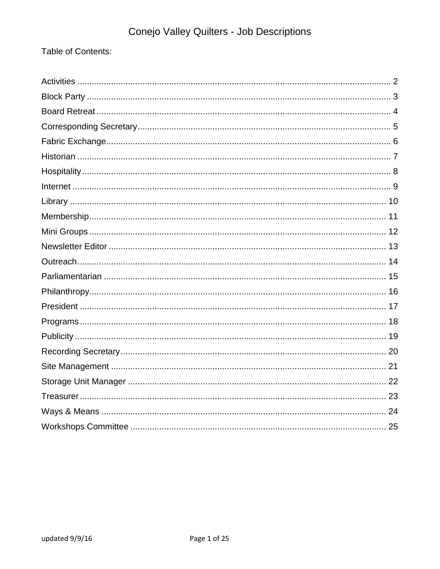Table of Contents: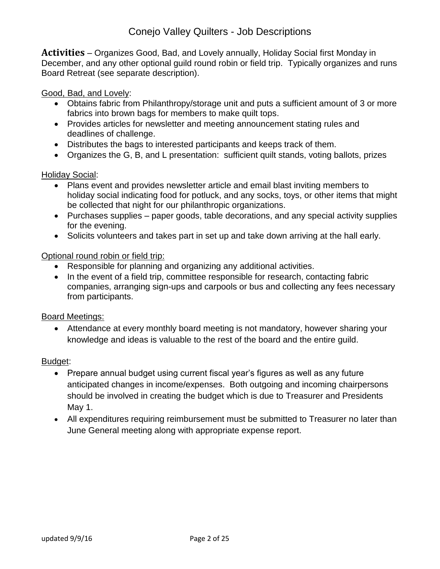<span id="page-1-0"></span>**Activities** – Organizes Good, Bad, and Lovely annually, Holiday Social first Monday in December, and any other optional guild round robin or field trip. Typically organizes and runs Board Retreat (see separate description).

Good, Bad, and Lovely:

- Obtains fabric from Philanthropy/storage unit and puts a sufficient amount of 3 or more fabrics into brown bags for members to make quilt tops.
- Provides articles for newsletter and meeting announcement stating rules and deadlines of challenge.
- Distributes the bags to interested participants and keeps track of them.
- Organizes the G, B, and L presentation: sufficient quilt stands, voting ballots, prizes

Holiday Social:

- Plans event and provides newsletter article and email blast inviting members to holiday social indicating food for potluck, and any socks, toys, or other items that might be collected that night for our philanthropic organizations.
- Purchases supplies paper goods, table decorations, and any special activity supplies for the evening.
- Solicits volunteers and takes part in set up and take down arriving at the hall early.

Optional round robin or field trip:

- Responsible for planning and organizing any additional activities.
- In the event of a field trip, committee responsible for research, contacting fabric companies, arranging sign-ups and carpools or bus and collecting any fees necessary from participants.

Board Meetings:

 Attendance at every monthly board meeting is not mandatory, however sharing your knowledge and ideas is valuable to the rest of the board and the entire guild.

- Prepare annual budget using current fiscal year's figures as well as any future anticipated changes in income/expenses. Both outgoing and incoming chairpersons should be involved in creating the budget which is due to Treasurer and Presidents May 1.
- All expenditures requiring reimbursement must be submitted to Treasurer no later than June General meeting along with appropriate expense report.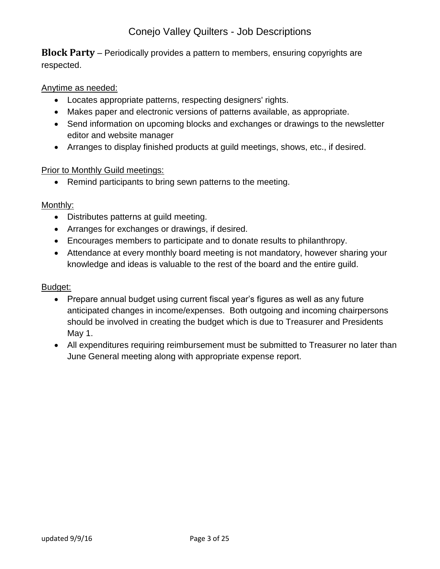<span id="page-2-0"></span>**Block Party** – Periodically provides a pattern to members, ensuring copyrights are respected.

## Anytime as needed:

- Locates appropriate patterns, respecting designers' rights.
- Makes paper and electronic versions of patterns available, as appropriate.
- Send information on upcoming blocks and exchanges or drawings to the newsletter editor and website manager
- Arranges to display finished products at guild meetings, shows, etc., if desired.

#### Prior to Monthly Guild meetings:

• Remind participants to bring sewn patterns to the meeting.

#### Monthly:

- Distributes patterns at guild meeting.
- Arranges for exchanges or drawings, if desired.
- Encourages members to participate and to donate results to philanthropy.
- Attendance at every monthly board meeting is not mandatory, however sharing your knowledge and ideas is valuable to the rest of the board and the entire guild.

- Prepare annual budget using current fiscal year's figures as well as any future anticipated changes in income/expenses. Both outgoing and incoming chairpersons should be involved in creating the budget which is due to Treasurer and Presidents May 1.
- All expenditures requiring reimbursement must be submitted to Treasurer no later than June General meeting along with appropriate expense report.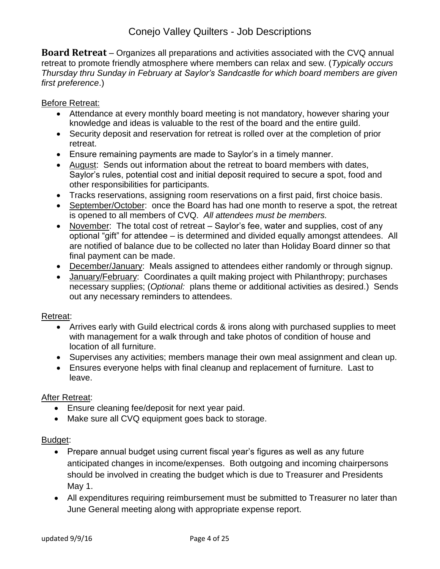<span id="page-3-0"></span>**Board Retreat** – Organizes all preparations and activities associated with the CVQ annual retreat to promote friendly atmosphere where members can relax and sew. (*Typically occurs Thursday thru Sunday in February at Saylor's Sandcastle for which board members are given first preference*.)

## Before Retreat:

- Attendance at every monthly board meeting is not mandatory, however sharing your knowledge and ideas is valuable to the rest of the board and the entire guild.
- Security deposit and reservation for retreat is rolled over at the completion of prior retreat.
- Ensure remaining payments are made to Saylor's in a timely manner.
- August: Sends out information about the retreat to board members with dates, Saylor's rules, potential cost and initial deposit required to secure a spot, food and other responsibilities for participants.
- Tracks reservations, assigning room reservations on a first paid, first choice basis.
- September/October: once the Board has had one month to reserve a spot, the retreat is opened to all members of CVQ. *All attendees must be members.*
- November: The total cost of retreat Saylor's fee, water and supplies, cost of any optional "gift" for attendee – is determined and divided equally amongst attendees. All are notified of balance due to be collected no later than Holiday Board dinner so that final payment can be made.
- December/January: Meals assigned to attendees either randomly or through signup.
- January/February: Coordinates a quilt making project with Philanthropy; purchases necessary supplies; (*Optional:* plans theme or additional activities as desired.) Sends out any necessary reminders to attendees.

#### Retreat:

- Arrives early with Guild electrical cords & irons along with purchased supplies to meet with management for a walk through and take photos of condition of house and location of all furniture.
- Supervises any activities; members manage their own meal assignment and clean up.
- Ensures everyone helps with final cleanup and replacement of furniture. Last to leave.

#### After Retreat:

- Ensure cleaning fee/deposit for next year paid.
- Make sure all CVQ equipment goes back to storage.

- Prepare annual budget using current fiscal year's figures as well as any future anticipated changes in income/expenses. Both outgoing and incoming chairpersons should be involved in creating the budget which is due to Treasurer and Presidents May 1.
- All expenditures requiring reimbursement must be submitted to Treasurer no later than June General meeting along with appropriate expense report.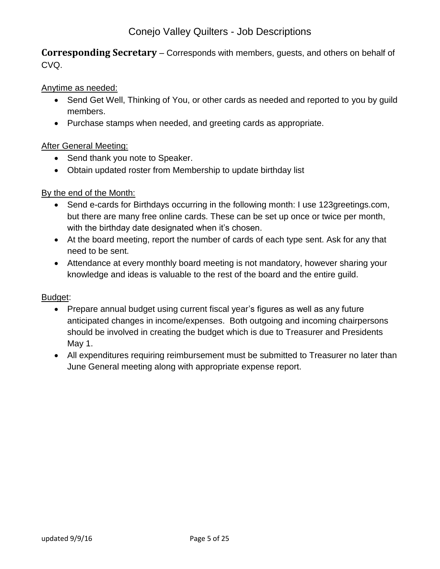<span id="page-4-0"></span>**Corresponding Secretary** – Corresponds with members, guests, and others on behalf of CVQ.

## Anytime as needed:

- Send Get Well, Thinking of You, or other cards as needed and reported to you by quild members.
- Purchase stamps when needed, and greeting cards as appropriate.

## After General Meeting:

- Send thank you note to Speaker.
- Obtain updated roster from Membership to update birthday list

## By the end of the Month:

- Send e-cards for Birthdays occurring in the following month: I use 123greetings.com, but there are many free online cards. These can be set up once or twice per month, with the birthday date designated when it's chosen.
- At the board meeting, report the number of cards of each type sent. Ask for any that need to be sent.
- Attendance at every monthly board meeting is not mandatory, however sharing your knowledge and ideas is valuable to the rest of the board and the entire guild.

- Prepare annual budget using current fiscal year's figures as well as any future anticipated changes in income/expenses. Both outgoing and incoming chairpersons should be involved in creating the budget which is due to Treasurer and Presidents May 1.
- All expenditures requiring reimbursement must be submitted to Treasurer no later than June General meeting along with appropriate expense report.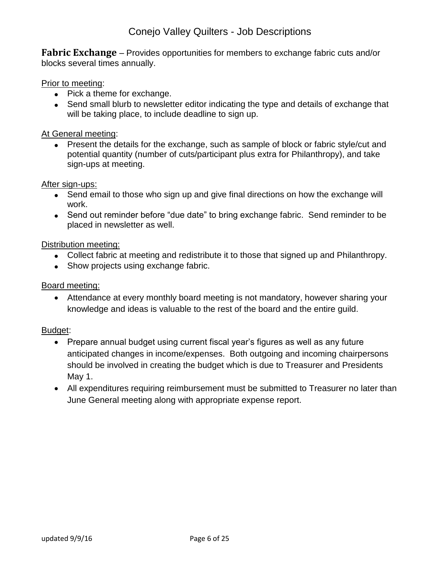<span id="page-5-0"></span>**Fabric Exchange** – Provides opportunities for members to exchange fabric cuts and/or blocks several times annually.

### Prior to meeting:

- Pick a theme for exchange.
- Send small blurb to newsletter editor indicating the type and details of exchange that will be taking place, to include deadline to sign up.

### At General meeting:

• Present the details for the exchange, such as sample of block or fabric style/cut and potential quantity (number of cuts/participant plus extra for Philanthropy), and take sign-ups at meeting.

#### After sign-ups:

- Send email to those who sign up and give final directions on how the exchange will work.
- Send out reminder before "due date" to bring exchange fabric. Send reminder to be placed in newsletter as well.

#### Distribution meeting:

- Collect fabric at meeting and redistribute it to those that signed up and Philanthropy.
- Show projects using exchange fabric.

#### Board meeting:

 Attendance at every monthly board meeting is not mandatory, however sharing your knowledge and ideas is valuable to the rest of the board and the entire guild.

- Prepare annual budget using current fiscal year's figures as well as any future anticipated changes in income/expenses. Both outgoing and incoming chairpersons should be involved in creating the budget which is due to Treasurer and Presidents May 1.
- All expenditures requiring reimbursement must be submitted to Treasurer no later than June General meeting along with appropriate expense report.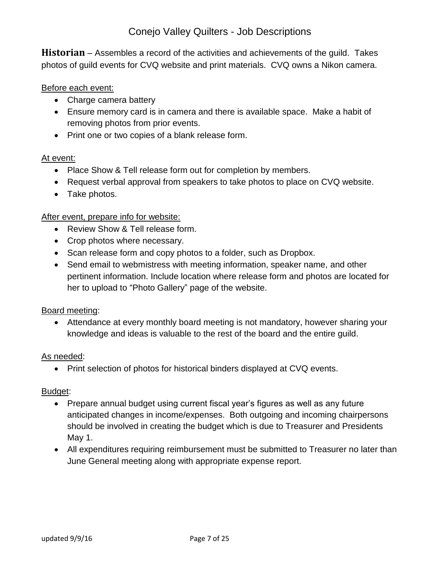<span id="page-6-0"></span>**Historian** – Assembles a record of the activities and achievements of the guild. Takes photos of guild events for CVQ website and print materials. CVQ owns a Nikon camera.

#### Before each event:

- Charge camera battery
- Ensure memory card is in camera and there is available space. Make a habit of removing photos from prior events.
- Print one or two copies of a blank release form.

#### At event:

- Place Show & Tell release form out for completion by members.
- Request verbal approval from speakers to take photos to place on CVQ website.
- Take photos.

#### After event, prepare info for website:

- Review Show & Tell release form.
- Crop photos where necessary.
- Scan release form and copy photos to a folder, such as Dropbox.
- Send email to webmistress with meeting information, speaker name, and other pertinent information. Include location where release form and photos are located for her to upload to "Photo Gallery" page of the website.

#### Board meeting:

 Attendance at every monthly board meeting is not mandatory, however sharing your knowledge and ideas is valuable to the rest of the board and the entire guild.

#### As needed:

• Print selection of photos for historical binders displayed at CVQ events.

- Prepare annual budget using current fiscal year's figures as well as any future anticipated changes in income/expenses. Both outgoing and incoming chairpersons should be involved in creating the budget which is due to Treasurer and Presidents May 1.
- All expenditures requiring reimbursement must be submitted to Treasurer no later than June General meeting along with appropriate expense report.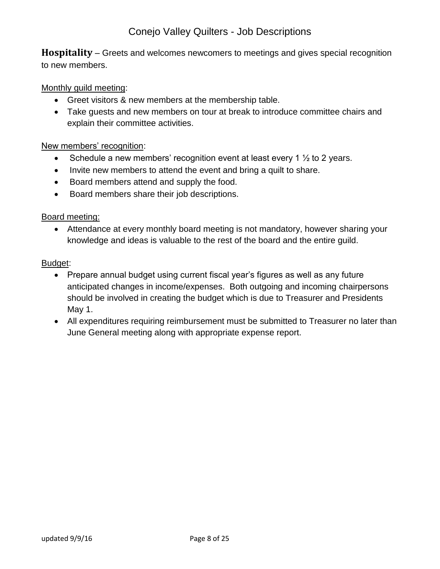<span id="page-7-0"></span>**Hospitality** – Greets and welcomes newcomers to meetings and gives special recognition to new members.

## Monthly guild meeting:

- Greet visitors & new members at the membership table.
- Take guests and new members on tour at break to introduce committee chairs and explain their committee activities.

#### New members' recognition:

- Schedule a new members' recognition event at least every 1  $\frac{1}{2}$  to 2 years.
- Invite new members to attend the event and bring a quilt to share.
- Board members attend and supply the food.
- Board members share their job descriptions.

#### Board meeting:

 Attendance at every monthly board meeting is not mandatory, however sharing your knowledge and ideas is valuable to the rest of the board and the entire guild.

- Prepare annual budget using current fiscal year's figures as well as any future anticipated changes in income/expenses. Both outgoing and incoming chairpersons should be involved in creating the budget which is due to Treasurer and Presidents May 1.
- All expenditures requiring reimbursement must be submitted to Treasurer no later than June General meeting along with appropriate expense report.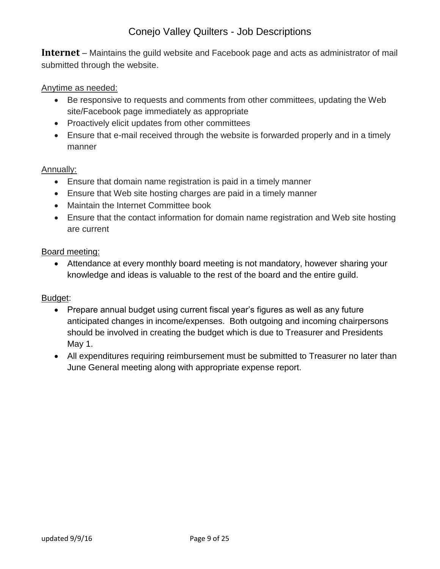<span id="page-8-0"></span>**Internet** – Maintains the guild website and Facebook page and acts as administrator of mail submitted through the website.

#### Anytime as needed:

- Be responsive to requests and comments from other committees, updating the Web site/Facebook page immediately as appropriate
- Proactively elicit updates from other committees
- Ensure that e-mail received through the website is forwarded properly and in a timely manner

#### Annually:

- Ensure that domain name registration is paid in a timely manner
- Ensure that Web site hosting charges are paid in a timely manner
- Maintain the Internet Committee book
- Ensure that the contact information for domain name registration and Web site hosting are current

#### Board meeting:

 Attendance at every monthly board meeting is not mandatory, however sharing your knowledge and ideas is valuable to the rest of the board and the entire guild.

- Prepare annual budget using current fiscal year's figures as well as any future anticipated changes in income/expenses. Both outgoing and incoming chairpersons should be involved in creating the budget which is due to Treasurer and Presidents May 1.
- All expenditures requiring reimbursement must be submitted to Treasurer no later than June General meeting along with appropriate expense report.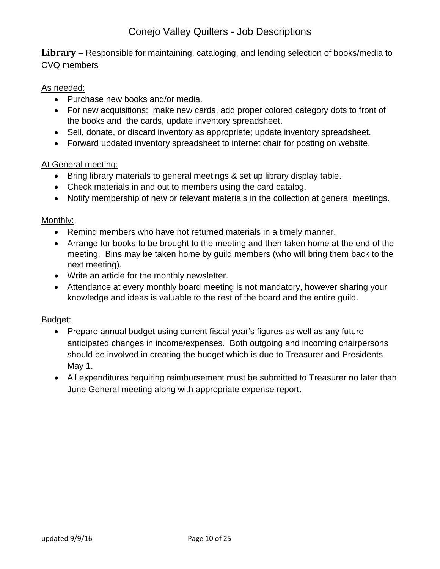<span id="page-9-0"></span>**Library** – Responsible for maintaining, cataloging, and lending selection of books/media to CVQ members

## As needed:

- Purchase new books and/or media.
- For new acquisitions: make new cards, add proper colored category dots to front of the books and the cards, update inventory spreadsheet.
- Sell, donate, or discard inventory as appropriate; update inventory spreadsheet.
- Forward updated inventory spreadsheet to internet chair for posting on website.

#### At General meeting:

- Bring library materials to general meetings & set up library display table.
- Check materials in and out to members using the card catalog.
- Notify membership of new or relevant materials in the collection at general meetings.

#### Monthly:

- Remind members who have not returned materials in a timely manner.
- Arrange for books to be brought to the meeting and then taken home at the end of the meeting. Bins may be taken home by guild members (who will bring them back to the next meeting).
- Write an article for the monthly newsletter.
- Attendance at every monthly board meeting is not mandatory, however sharing your knowledge and ideas is valuable to the rest of the board and the entire guild.

- Prepare annual budget using current fiscal year's figures as well as any future anticipated changes in income/expenses. Both outgoing and incoming chairpersons should be involved in creating the budget which is due to Treasurer and Presidents May 1.
- All expenditures requiring reimbursement must be submitted to Treasurer no later than June General meeting along with appropriate expense report.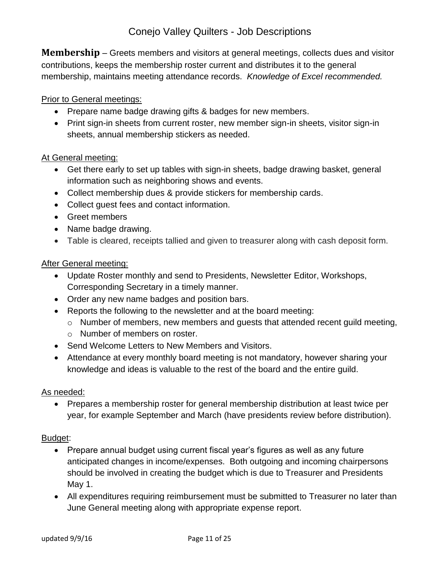<span id="page-10-0"></span>**Membership** – Greets members and visitors at general meetings, collects dues and visitor contributions, keeps the membership roster current and distributes it to the general membership, maintains meeting attendance records. *Knowledge of Excel recommended.*

## Prior to General meetings:

- Prepare name badge drawing gifts & badges for new members.
- Print sign-in sheets from current roster, new member sign-in sheets, visitor sign-in sheets, annual membership stickers as needed.

## At General meeting:

- Get there early to set up tables with sign-in sheets, badge drawing basket, general information such as neighboring shows and events.
- Collect membership dues & provide stickers for membership cards.
- Collect guest fees and contact information.
- Greet members
- Name badge drawing.
- Table is cleared, receipts tallied and given to treasurer along with cash deposit form.

#### After General meeting:

- Update Roster monthly and send to Presidents, Newsletter Editor, Workshops, Corresponding Secretary in a timely manner.
- Order any new name badges and position bars.
- Reports the following to the newsletter and at the board meeting:
	- o Number of members, new members and guests that attended recent guild meeting,
	- o Number of members on roster.
- Send Welcome Letters to New Members and Visitors.
- Attendance at every monthly board meeting is not mandatory, however sharing your knowledge and ideas is valuable to the rest of the board and the entire guild.

#### As needed:

 Prepares a membership roster for general membership distribution at least twice per year, for example September and March (have presidents review before distribution).

- Prepare annual budget using current fiscal year's figures as well as any future anticipated changes in income/expenses. Both outgoing and incoming chairpersons should be involved in creating the budget which is due to Treasurer and Presidents May 1.
- All expenditures requiring reimbursement must be submitted to Treasurer no later than June General meeting along with appropriate expense report.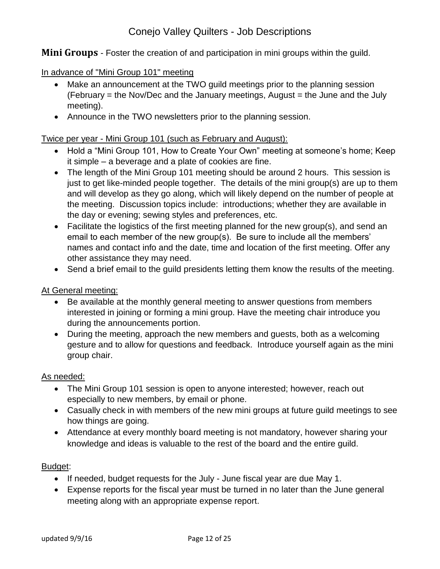<span id="page-11-0"></span>**Mini Groups** - Foster the creation of and participation in mini groups within the guild.

In advance of "Mini Group 101" meeting

- Make an announcement at the TWO guild meetings prior to the planning session  $(February = the Nov/Dec and the January meetings, August = the June and the July)$ meeting).
- Announce in the TWO newsletters prior to the planning session.

## Twice per year - Mini Group 101 (such as February and August):

- Hold a "Mini Group 101, How to Create Your Own" meeting at someone's home; Keep it simple – a beverage and a plate of cookies are fine.
- The length of the Mini Group 101 meeting should be around 2 hours. This session is just to get like-minded people together. The details of the mini group(s) are up to them and will develop as they go along, which will likely depend on the number of people at the meeting. Discussion topics include: introductions; whether they are available in the day or evening; sewing styles and preferences, etc.
- Facilitate the logistics of the first meeting planned for the new group(s), and send an email to each member of the new group(s). Be sure to include all the members' names and contact info and the date, time and location of the first meeting. Offer any other assistance they may need.
- Send a brief email to the quild presidents letting them know the results of the meeting.

#### At General meeting:

- Be available at the monthly general meeting to answer questions from members interested in joining or forming a mini group. Have the meeting chair introduce you during the announcements portion.
- During the meeting, approach the new members and guests, both as a welcoming gesture and to allow for questions and feedback. Introduce yourself again as the mini group chair.

#### As needed:

- The Mini Group 101 session is open to anyone interested; however, reach out especially to new members, by email or phone.
- Casually check in with members of the new mini groups at future guild meetings to see how things are going.
- Attendance at every monthly board meeting is not mandatory, however sharing your knowledge and ideas is valuable to the rest of the board and the entire guild.

- If needed, budget requests for the July June fiscal year are due May 1.
- Expense reports for the fiscal year must be turned in no later than the June general meeting along with an appropriate expense report.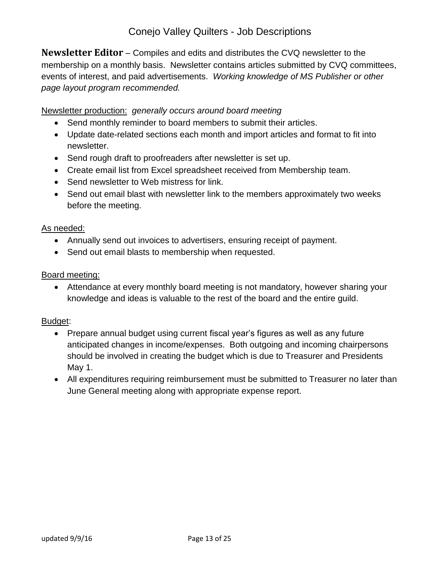<span id="page-12-0"></span>**Newsletter Editor** – Compiles and edits and distributes the CVQ newsletter to the membership on a monthly basis. Newsletter contains articles submitted by CVQ committees, events of interest, and paid advertisements. *Working knowledge of MS Publisher or other page layout program recommended.*

Newsletter production: *generally occurs around board meeting*

- Send monthly reminder to board members to submit their articles.
- Update date-related sections each month and import articles and format to fit into newsletter.
- Send rough draft to proofreaders after newsletter is set up.
- Create email list from Excel spreadsheet received from Membership team.
- Send newsletter to Web mistress for link.
- Send out email blast with newsletter link to the members approximately two weeks before the meeting.

#### As needed:

- Annually send out invoices to advertisers, ensuring receipt of payment.
- Send out email blasts to membership when requested.

#### Board meeting:

 Attendance at every monthly board meeting is not mandatory, however sharing your knowledge and ideas is valuable to the rest of the board and the entire guild.

- Prepare annual budget using current fiscal year's figures as well as any future anticipated changes in income/expenses. Both outgoing and incoming chairpersons should be involved in creating the budget which is due to Treasurer and Presidents May 1.
- All expenditures requiring reimbursement must be submitted to Treasurer no later than June General meeting along with appropriate expense report.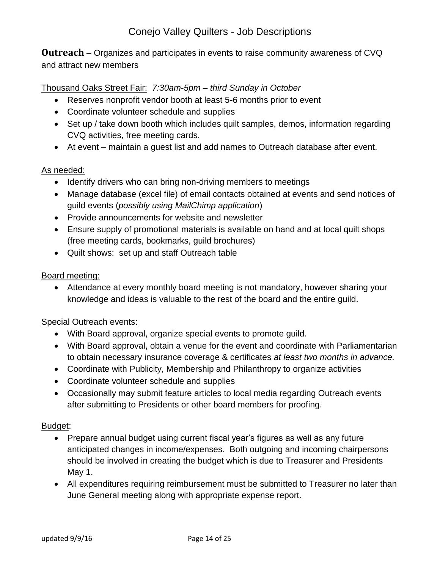<span id="page-13-0"></span>**Outreach** – Organizes and participates in events to raise community awareness of CVQ and attract new members

## Thousand Oaks Street Fair: *7:30am-5pm – third Sunday in October*

- Reserves nonprofit vendor booth at least 5-6 months prior to event
- Coordinate volunteer schedule and supplies
- Set up / take down booth which includes quilt samples, demos, information regarding CVQ activities, free meeting cards.
- At event maintain a guest list and add names to Outreach database after event.

#### As needed:

- Identify drivers who can bring non-driving members to meetings
- Manage database (excel file) of email contacts obtained at events and send notices of guild events (*possibly using MailChimp application*)
- Provide announcements for website and newsletter
- Ensure supply of promotional materials is available on hand and at local quilt shops (free meeting cards, bookmarks, guild brochures)
- Quilt shows: set up and staff Outreach table

#### Board meeting:

 Attendance at every monthly board meeting is not mandatory, however sharing your knowledge and ideas is valuable to the rest of the board and the entire guild.

#### Special Outreach events:

- With Board approval, organize special events to promote guild.
- With Board approval, obtain a venue for the event and coordinate with Parliamentarian to obtain necessary insurance coverage & certificates *at least two months in advance.*
- Coordinate with Publicity, Membership and Philanthropy to organize activities
- Coordinate volunteer schedule and supplies
- Occasionally may submit feature articles to local media regarding Outreach events after submitting to Presidents or other board members for proofing.

- Prepare annual budget using current fiscal year's figures as well as any future anticipated changes in income/expenses. Both outgoing and incoming chairpersons should be involved in creating the budget which is due to Treasurer and Presidents May 1.
- All expenditures requiring reimbursement must be submitted to Treasurer no later than June General meeting along with appropriate expense report.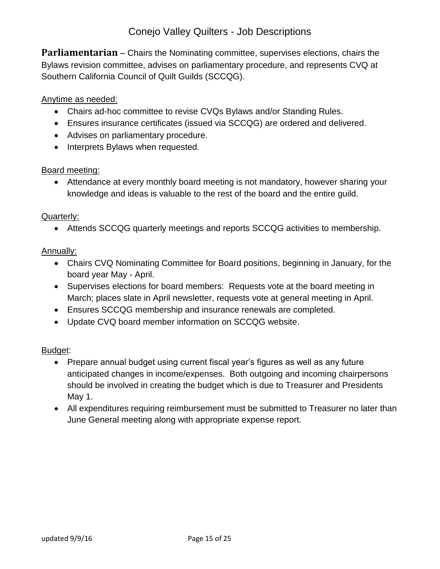<span id="page-14-0"></span>**Parliamentarian** – Chairs the Nominating committee, supervises elections, chairs the Bylaws revision committee, advises on parliamentary procedure, and represents CVQ at Southern California Council of Quilt Guilds (SCCQG).

### Anytime as needed:

- Chairs ad-hoc committee to revise CVQs Bylaws and/or Standing Rules.
- Ensures insurance certificates (issued via SCCQG) are ordered and delivered.
- Advises on parliamentary procedure.
- Interprets Bylaws when requested.

#### Board meeting:

 Attendance at every monthly board meeting is not mandatory, however sharing your knowledge and ideas is valuable to the rest of the board and the entire guild.

#### Quarterly:

Attends SCCQG quarterly meetings and reports SCCQG activities to membership.

#### Annually:

- Chairs CVQ Nominating Committee for Board positions, beginning in January, for the board year May - April.
- Supervises elections for board members: Requests vote at the board meeting in March; places slate in April newsletter, requests vote at general meeting in April.
- Ensures SCCQG membership and insurance renewals are completed.
- Update CVQ board member information on SCCQG website.

- Prepare annual budget using current fiscal year's figures as well as any future anticipated changes in income/expenses. Both outgoing and incoming chairpersons should be involved in creating the budget which is due to Treasurer and Presidents May 1.
- All expenditures requiring reimbursement must be submitted to Treasurer no later than June General meeting along with appropriate expense report.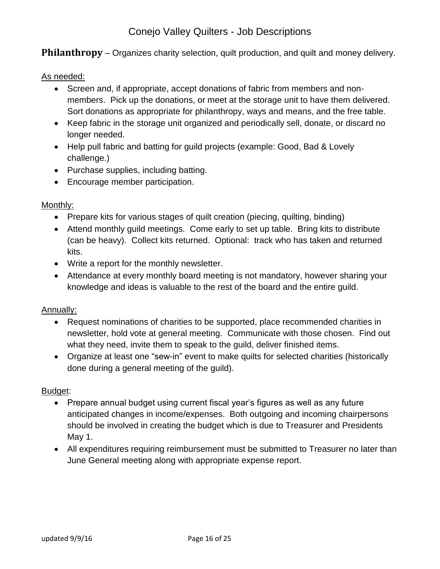<span id="page-15-0"></span>**Philanthropy** – Organizes charity selection, quilt production, and quilt and money delivery.

### As needed:

- Screen and, if appropriate, accept donations of fabric from members and nonmembers. Pick up the donations, or meet at the storage unit to have them delivered. Sort donations as appropriate for philanthropy, ways and means, and the free table.
- Keep fabric in the storage unit organized and periodically sell, donate, or discard no longer needed.
- Help pull fabric and batting for guild projects (example: Good, Bad & Lovely challenge.)
- Purchase supplies, including batting.
- Encourage member participation.

#### Monthly:

- Prepare kits for various stages of quilt creation (piecing, quilting, binding)
- Attend monthly guild meetings. Come early to set up table. Bring kits to distribute (can be heavy). Collect kits returned. Optional: track who has taken and returned kits.
- Write a report for the monthly newsletter.
- Attendance at every monthly board meeting is not mandatory, however sharing your knowledge and ideas is valuable to the rest of the board and the entire guild.

#### Annually:

- Request nominations of charities to be supported, place recommended charities in newsletter, hold vote at general meeting. Communicate with those chosen. Find out what they need, invite them to speak to the guild, deliver finished items.
- Organize at least one "sew-in" event to make quilts for selected charities (historically done during a general meeting of the guild).

- Prepare annual budget using current fiscal year's figures as well as any future anticipated changes in income/expenses. Both outgoing and incoming chairpersons should be involved in creating the budget which is due to Treasurer and Presidents May 1.
- All expenditures requiring reimbursement must be submitted to Treasurer no later than June General meeting along with appropriate expense report.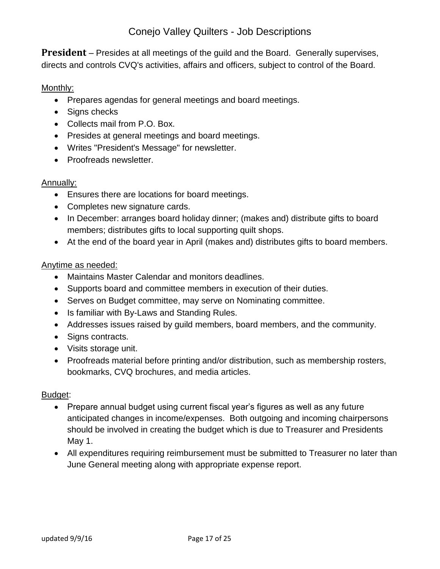<span id="page-16-0"></span>**President** – Presides at all meetings of the guild and the Board. Generally supervises, directs and controls CVQ's activities, affairs and officers, subject to control of the Board.

## Monthly:

- Prepares agendas for general meetings and board meetings.
- Signs checks
- Collects mail from P.O. Box.
- Presides at general meetings and board meetings.
- Writes "President's Message" for newsletter.
- Proofreads newsletter.

## Annually:

- Ensures there are locations for board meetings.
- Completes new signature cards.
- In December: arranges board holiday dinner; (makes and) distribute gifts to board members; distributes gifts to local supporting quilt shops.
- At the end of the board year in April (makes and) distributes gifts to board members.

## Anytime as needed:

- Maintains Master Calendar and monitors deadlines.
- Supports board and committee members in execution of their duties.
- Serves on Budget committee, may serve on Nominating committee.
- Is familiar with By-Laws and Standing Rules.
- Addresses issues raised by guild members, board members, and the community.
- Signs contracts.
- Visits storage unit.
- Proofreads material before printing and/or distribution, such as membership rosters, bookmarks, CVQ brochures, and media articles.

- Prepare annual budget using current fiscal year's figures as well as any future anticipated changes in income/expenses. Both outgoing and incoming chairpersons should be involved in creating the budget which is due to Treasurer and Presidents May 1.
- All expenditures requiring reimbursement must be submitted to Treasurer no later than June General meeting along with appropriate expense report.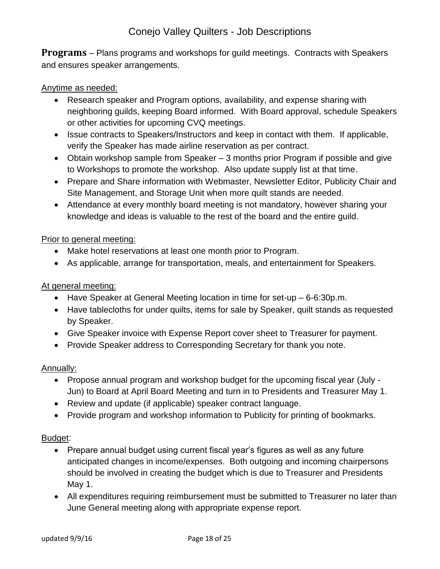<span id="page-17-0"></span>**Programs** – Plans programs and workshops for guild meetings. Contracts with Speakers and ensures speaker arrangements.

### Anytime as needed:

- Research speaker and Program options, availability, and expense sharing with neighboring guilds, keeping Board informed. With Board approval, schedule Speakers or other activities for upcoming CVQ meetings.
- Issue contracts to Speakers/Instructors and keep in contact with them. If applicable, verify the Speaker has made airline reservation as per contract.
- Obtain workshop sample from Speaker 3 months prior Program if possible and give to Workshops to promote the workshop. Also update supply list at that time.
- Prepare and Share information with Webmaster, Newsletter Editor, Publicity Chair and Site Management, and Storage Unit when more quilt stands are needed.
- Attendance at every monthly board meeting is not mandatory, however sharing your knowledge and ideas is valuable to the rest of the board and the entire guild.

## Prior to general meeting:

- Make hotel reservations at least one month prior to Program.
- As applicable, arrange for transportation, meals, and entertainment for Speakers.

## At general meeting:

- Have Speaker at General Meeting location in time for set-up 6-6:30p.m.
- Have tablecloths for under quilts, items for sale by Speaker, quilt stands as requested by Speaker.
- Give Speaker invoice with Expense Report cover sheet to Treasurer for payment.
- Provide Speaker address to Corresponding Secretary for thank you note.

#### Annually:

- Propose annual program and workshop budget for the upcoming fiscal year (July Jun) to Board at April Board Meeting and turn in to Presidents and Treasurer May 1.
- Review and update (if applicable) speaker contract language.
- Provide program and workshop information to Publicity for printing of bookmarks.

- Prepare annual budget using current fiscal year's figures as well as any future anticipated changes in income/expenses. Both outgoing and incoming chairpersons should be involved in creating the budget which is due to Treasurer and Presidents May 1.
- All expenditures requiring reimbursement must be submitted to Treasurer no later than June General meeting along with appropriate expense report.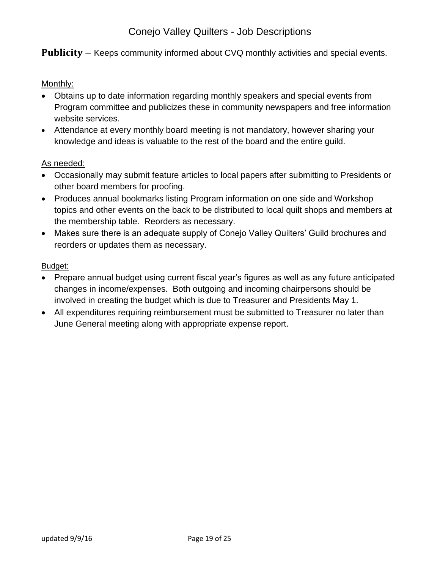### <span id="page-18-0"></span>**Publicity** – Keeps community informed about CVQ monthly activities and special events.

#### Monthly:

- Obtains up to date information regarding monthly speakers and special events from Program committee and publicizes these in community newspapers and free information website services.
- Attendance at every monthly board meeting is not mandatory, however sharing your knowledge and ideas is valuable to the rest of the board and the entire guild.

#### As needed:

- Occasionally may submit feature articles to local papers after submitting to Presidents or other board members for proofing.
- Produces annual bookmarks listing Program information on one side and Workshop topics and other events on the back to be distributed to local quilt shops and members at the membership table. Reorders as necessary.
- Makes sure there is an adequate supply of Conejo Valley Quilters' Guild brochures and reorders or updates them as necessary.

- Prepare annual budget using current fiscal year's figures as well as any future anticipated changes in income/expenses. Both outgoing and incoming chairpersons should be involved in creating the budget which is due to Treasurer and Presidents May 1.
- All expenditures requiring reimbursement must be submitted to Treasurer no later than June General meeting along with appropriate expense report.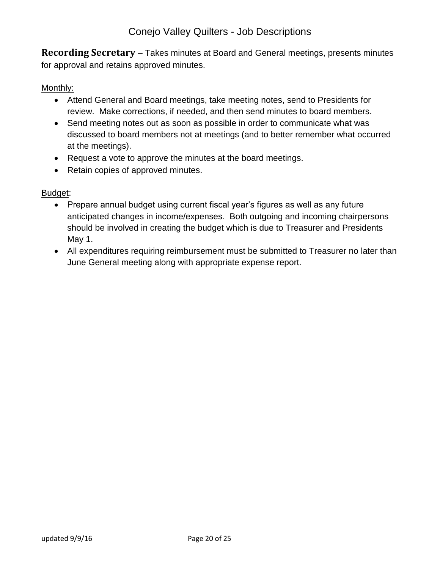<span id="page-19-0"></span>**Recording Secretary** – Takes minutes at Board and General meetings, presents minutes for approval and retains approved minutes.

## Monthly:

- Attend General and Board meetings, take meeting notes, send to Presidents for review. Make corrections, if needed, and then send minutes to board members.
- Send meeting notes out as soon as possible in order to communicate what was discussed to board members not at meetings (and to better remember what occurred at the meetings).
- Request a vote to approve the minutes at the board meetings.
- Retain copies of approved minutes.

- Prepare annual budget using current fiscal year's figures as well as any future anticipated changes in income/expenses. Both outgoing and incoming chairpersons should be involved in creating the budget which is due to Treasurer and Presidents May 1.
- All expenditures requiring reimbursement must be submitted to Treasurer no later than June General meeting along with appropriate expense report.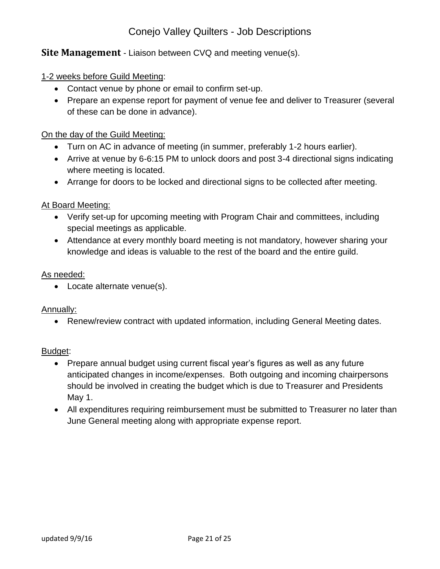## <span id="page-20-0"></span>**Site Management** - Liaison between CVQ and meeting venue(s).

#### 1-2 weeks before Guild Meeting:

- Contact venue by phone or email to confirm set-up.
- Prepare an expense report for payment of venue fee and deliver to Treasurer (several of these can be done in advance).

#### On the day of the Guild Meeting:

- Turn on AC in advance of meeting (in summer, preferably 1-2 hours earlier).
- Arrive at venue by 6-6:15 PM to unlock doors and post 3-4 directional signs indicating where meeting is located.
- Arrange for doors to be locked and directional signs to be collected after meeting.

#### At Board Meeting:

- Verify set-up for upcoming meeting with Program Chair and committees, including special meetings as applicable.
- Attendance at every monthly board meeting is not mandatory, however sharing your knowledge and ideas is valuable to the rest of the board and the entire guild.

#### As needed:

• Locate alternate venue(s).

#### Annually:

• Renew/review contract with updated information, including General Meeting dates.

- Prepare annual budget using current fiscal year's figures as well as any future anticipated changes in income/expenses. Both outgoing and incoming chairpersons should be involved in creating the budget which is due to Treasurer and Presidents May 1.
- All expenditures requiring reimbursement must be submitted to Treasurer no later than June General meeting along with appropriate expense report.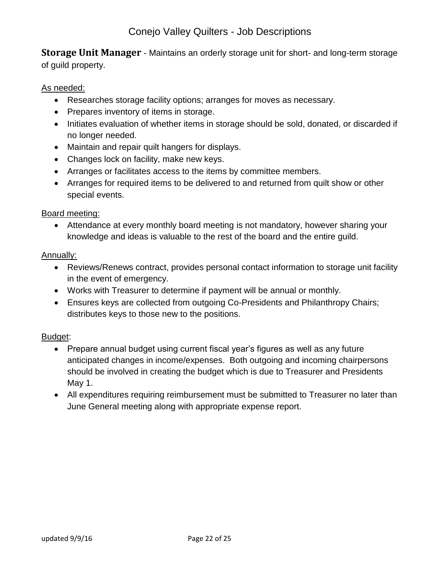<span id="page-21-0"></span>**Storage Unit Manager** - Maintains an orderly storage unit for short- and long-term storage of guild property.

### As needed:

- Researches storage facility options; arranges for moves as necessary.
- Prepares inventory of items in storage.
- Initiates evaluation of whether items in storage should be sold, donated, or discarded if no longer needed.
- Maintain and repair quilt hangers for displays.
- Changes lock on facility, make new keys.
- Arranges or facilitates access to the items by committee members.
- Arranges for required items to be delivered to and returned from quilt show or other special events.

#### Board meeting:

 Attendance at every monthly board meeting is not mandatory, however sharing your knowledge and ideas is valuable to the rest of the board and the entire guild.

#### Annually:

- Reviews/Renews contract, provides personal contact information to storage unit facility in the event of emergency.
- Works with Treasurer to determine if payment will be annual or monthly.
- Ensures keys are collected from outgoing Co-Presidents and Philanthropy Chairs; distributes keys to those new to the positions.

- Prepare annual budget using current fiscal year's figures as well as any future anticipated changes in income/expenses. Both outgoing and incoming chairpersons should be involved in creating the budget which is due to Treasurer and Presidents May 1.
- All expenditures requiring reimbursement must be submitted to Treasurer no later than June General meeting along with appropriate expense report.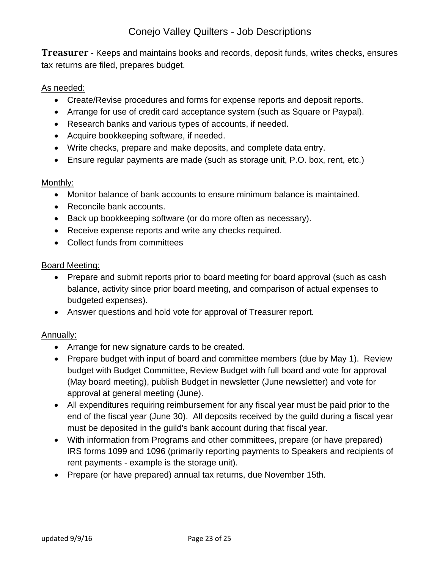<span id="page-22-0"></span>**Treasurer** - Keeps and maintains books and records, deposit funds, writes checks, ensures tax returns are filed, prepares budget.

#### As needed:

- Create/Revise procedures and forms for expense reports and deposit reports.
- Arrange for use of credit card acceptance system (such as Square or Paypal).
- Research banks and various types of accounts, if needed.
- Acquire bookkeeping software, if needed.
- Write checks, prepare and make deposits, and complete data entry.
- Ensure regular payments are made (such as storage unit, P.O. box, rent, etc.)

## Monthly:

- Monitor balance of bank accounts to ensure minimum balance is maintained.
- Reconcile bank accounts.
- Back up bookkeeping software (or do more often as necessary).
- Receive expense reports and write any checks required.
- Collect funds from committees

#### Board Meeting:

- Prepare and submit reports prior to board meeting for board approval (such as cash balance, activity since prior board meeting, and comparison of actual expenses to budgeted expenses).
- Answer questions and hold vote for approval of Treasurer report.

## Annually:

- Arrange for new signature cards to be created.
- Prepare budget with input of board and committee members (due by May 1). Review budget with Budget Committee, Review Budget with full board and vote for approval (May board meeting), publish Budget in newsletter (June newsletter) and vote for approval at general meeting (June).
- All expenditures requiring reimbursement for any fiscal year must be paid prior to the end of the fiscal year (June 30). All deposits received by the guild during a fiscal year must be deposited in the guild's bank account during that fiscal year.
- With information from Programs and other committees, prepare (or have prepared) IRS forms 1099 and 1096 (primarily reporting payments to Speakers and recipients of rent payments - example is the storage unit).
- Prepare (or have prepared) annual tax returns, due November 15th.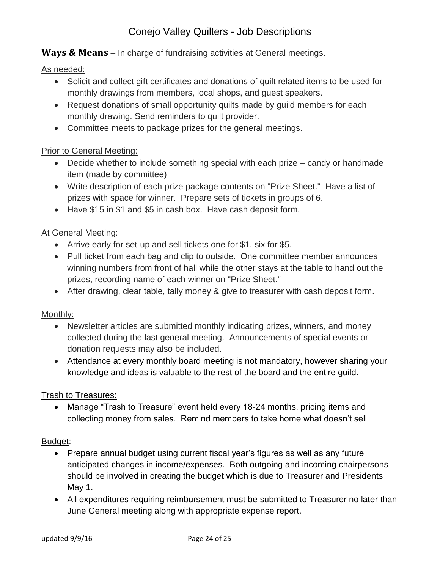<span id="page-23-0"></span>**Ways & Means** – In charge of fundraising activities at General meetings.

As needed:

- Solicit and collect gift certificates and donations of quilt related items to be used for monthly drawings from members, local shops, and guest speakers.
- Request donations of small opportunity quilts made by quild members for each monthly drawing. Send reminders to quilt provider.
- Committee meets to package prizes for the general meetings.

## Prior to General Meeting:

- Decide whether to include something special with each prize candy or handmade item (made by committee)
- Write description of each prize package contents on "Prize Sheet." Have a list of prizes with space for winner. Prepare sets of tickets in groups of 6.
- Have \$15 in \$1 and \$5 in cash box. Have cash deposit form.

## At General Meeting:

- Arrive early for set-up and sell tickets one for \$1, six for \$5.
- Pull ticket from each bag and clip to outside. One committee member announces winning numbers from front of hall while the other stays at the table to hand out the prizes, recording name of each winner on "Prize Sheet."
- After drawing, clear table, tally money & give to treasurer with cash deposit form.

## Monthly:

- Newsletter articles are submitted monthly indicating prizes, winners, and money collected during the last general meeting. Announcements of special events or donation requests may also be included.
- Attendance at every monthly board meeting is not mandatory, however sharing your knowledge and ideas is valuable to the rest of the board and the entire guild.

## Trash to Treasures:

 Manage "Trash to Treasure" event held every 18-24 months, pricing items and collecting money from sales. Remind members to take home what doesn't sell

- Prepare annual budget using current fiscal year's figures as well as any future anticipated changes in income/expenses. Both outgoing and incoming chairpersons should be involved in creating the budget which is due to Treasurer and Presidents May 1.
- All expenditures requiring reimbursement must be submitted to Treasurer no later than June General meeting along with appropriate expense report.